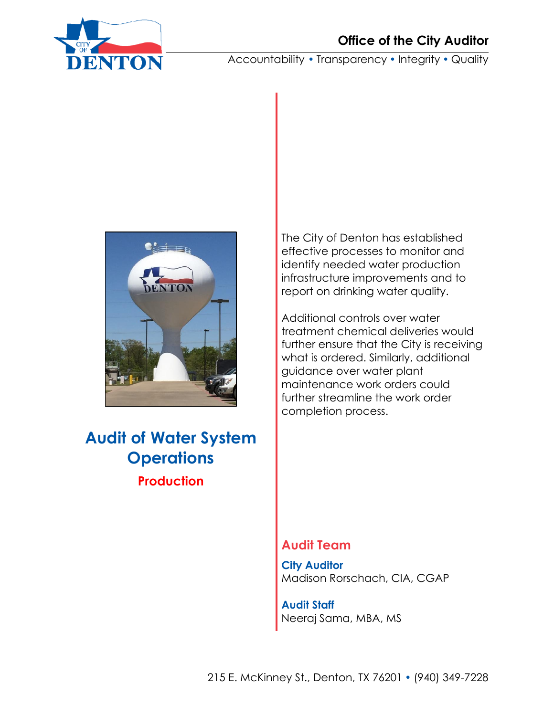

Accountability • Transparency • Integrity • Quality



**Audit of Water System Operations Production**

The City of Denton has established effective processes to monitor and identify needed water production infrastructure improvements and to report on drinking water quality.

Additional controls over water treatment chemical deliveries would further ensure that the City is receiving what is ordered. Similarly, additional guidance over water plant maintenance work orders could further streamline the work order completion process.

### **Audit Team**

**City Auditor** Madison Rorschach, CIA, CGAP

**Audit Staff** Neeraj Sama, MBA, MS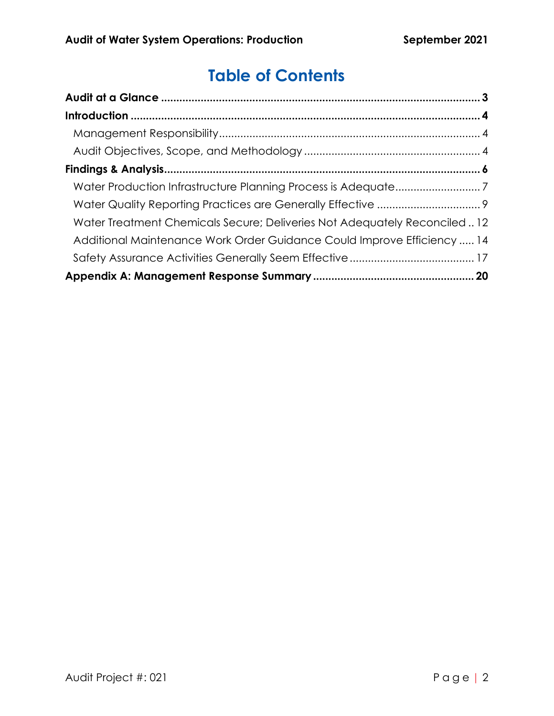# **Table of Contents**

| Water Treatment Chemicals Secure; Deliveries Not Adequately Reconciled 12 |  |
|---------------------------------------------------------------------------|--|
| Additional Maintenance Work Order Guidance Could Improve Efficiency  14   |  |
|                                                                           |  |
|                                                                           |  |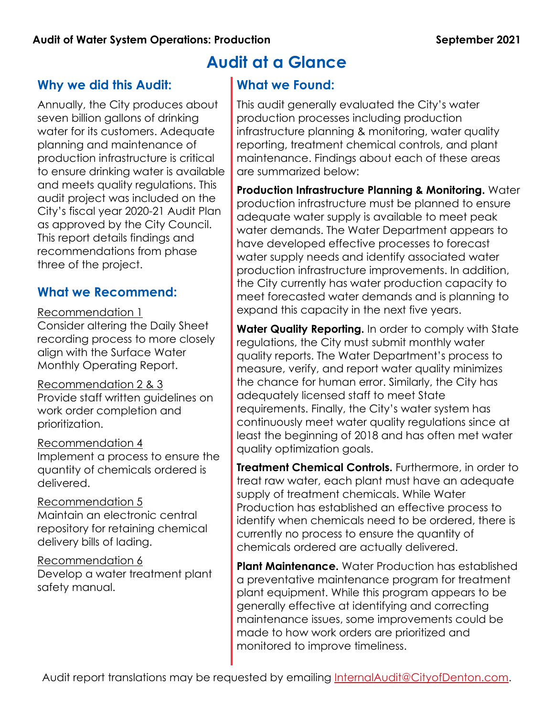## <span id="page-2-0"></span>**Why we did this Audit:**

Annually, the City produces about seven billion gallons of drinking water for its customers. Adequate planning and maintenance of production infrastructure is critical to ensure drinking water is available and meets quality regulations. This audit project was included on the City's fiscal year 2020-21 Audit Plan as approved by the City Council. This report details findings and recommendations from phase three of the project.

## **What we Recommend:**

#### Recommendation 1

Consider altering the Daily Sheet recording process to more closely align with the Surface Water Monthly Operating Report.

### Recommendation 2 & 3

Provide staff written guidelines on work order completion and prioritization.

Recommendation 4 Implement a process to ensure the quantity of chemicals ordered is delivered.

Recommendation 5 Maintain an electronic central repository for retaining chemical delivery bills of lading.

Recommendation 6 Develop a water treatment plant safety manual.

# **Audit at a Glance**

## **What we Found:**

This audit generally evaluated the City's water production processes including production infrastructure planning & monitoring, water quality reporting, treatment chemical controls, and plant maintenance. Findings about each of these areas are summarized below:

**Production Infrastructure Planning & Monitoring.** Water production infrastructure must be planned to ensure adequate water supply is available to meet peak water demands. The Water Department appears to have developed effective processes to forecast water supply needs and identify associated water production infrastructure improvements. In addition, the City currently has water production capacity to meet forecasted water demands and is planning to expand this capacity in the next five years.

**Water Quality Reporting.** In order to comply with State regulations, the City must submit monthly water quality reports. The Water Department's process to measure, verify, and report water quality minimizes the chance for human error. Similarly, the City has adequately licensed staff to meet State requirements. Finally, the City's water system has continuously meet water quality regulations since at least the beginning of 2018 and has often met water quality optimization goals.

**Treatment Chemical Controls.** Furthermore, in order to treat raw water, each plant must have an adequate supply of treatment chemicals. While Water Production has established an effective process to identify when chemicals need to be ordered, there is currently no process to ensure the quantity of chemicals ordered are actually delivered.

**Plant Maintenance.** Water Production has established a preventative maintenance program for treatment plant equipment. While this program appears to be generally effective at identifying and correcting maintenance issues, some improvements could be made to how work orders are prioritized and monitored to improve timeliness.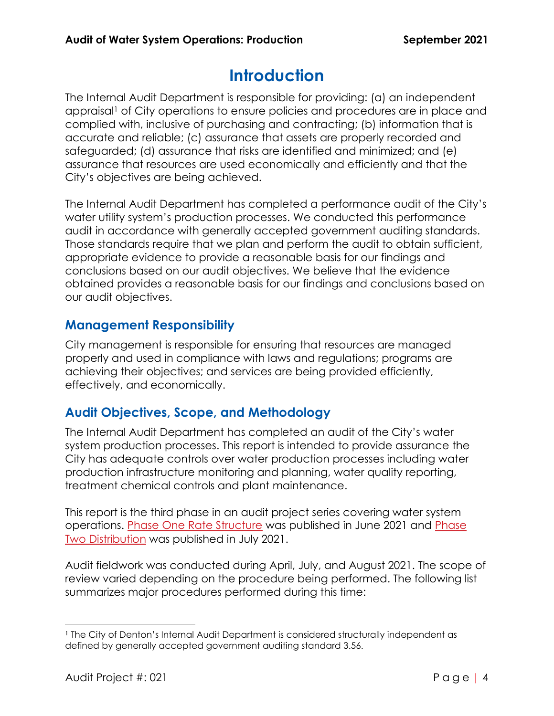# **Introduction**

<span id="page-3-0"></span>The Internal Audit Department is responsible for providing: (a) an independent appraisal<sup>1</sup> of City operations to ensure policies and procedures are in place and complied with, inclusive of purchasing and contracting; (b) information that is accurate and reliable; (c) assurance that assets are properly recorded and safeguarded; (d) assurance that risks are identified and minimized; and (e) assurance that resources are used economically and efficiently and that the City's objectives are being achieved.

The Internal Audit Department has completed a performance audit of the City's water utility system's production processes. We conducted this performance audit in accordance with generally accepted government auditing standards. Those standards require that we plan and perform the audit to obtain sufficient, appropriate evidence to provide a reasonable basis for our findings and conclusions based on our audit objectives. We believe that the evidence obtained provides a reasonable basis for our findings and conclusions based on our audit objectives.

## <span id="page-3-1"></span>**Management Responsibility**

City management is responsible for ensuring that resources are managed properly and used in compliance with laws and regulations; programs are achieving their objectives; and services are being provided efficiently, effectively, and economically.

# <span id="page-3-2"></span>**Audit Objectives, Scope, and Methodology**

The Internal Audit Department has completed an audit of the City's water system production processes. This report is intended to provide assurance the City has adequate controls over water production processes including water production infrastructure monitoring and planning, water quality reporting, treatment chemical controls and plant maintenance.

This report is the third phase in an audit project series covering water system operations. [Phase One Rate Structure](https://lfpubweb.cityofdenton.com/publicweblink/4/edoc/42787/1.%20Audit%20of%20Water%20System%20Operations%20Rate%20Structure.pdf) was published in June 2021 and [Phase](https://lfpubweb.cityofdenton.com/publicweblink/4/edoc/44221/1.%20Audit%20of%20Water%20System%20Operations%20Distribution.pdf)  [Two Distribution](https://lfpubweb.cityofdenton.com/publicweblink/4/edoc/44221/1.%20Audit%20of%20Water%20System%20Operations%20Distribution.pdf) was published in July 2021.

Audit fieldwork was conducted during April, July, and August 2021. The scope of review varied depending on the procedure being performed. The following list summarizes major procedures performed during this time:

<sup>1</sup> The City of Denton's Internal Audit Department is considered structurally independent as defined by generally accepted government auditing standard 3.56.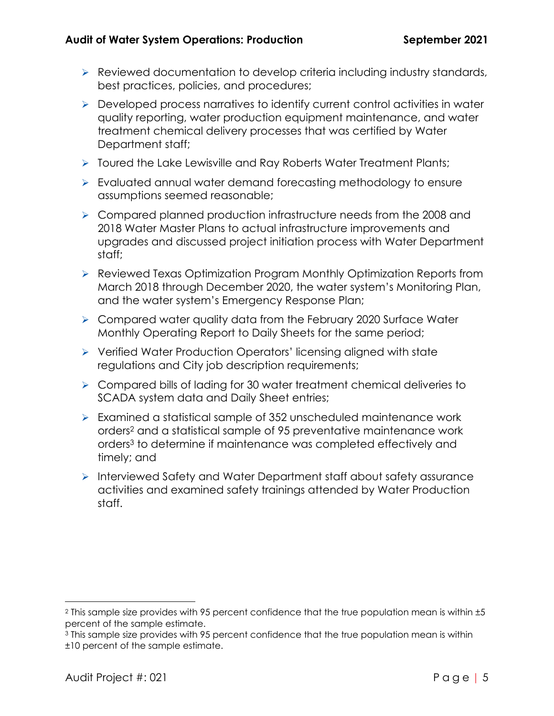- ➢ Reviewed documentation to develop criteria including industry standards, best practices, policies, and procedures;
- ➢ Developed process narratives to identify current control activities in water quality reporting, water production equipment maintenance, and water treatment chemical delivery processes that was certified by Water Department staff;
- ➢ Toured the Lake Lewisville and Ray Roberts Water Treatment Plants;
- ➢ Evaluated annual water demand forecasting methodology to ensure assumptions seemed reasonable;
- ➢ Compared planned production infrastructure needs from the 2008 and 2018 Water Master Plans to actual infrastructure improvements and upgrades and discussed project initiation process with Water Department staff;
- ➢ Reviewed Texas Optimization Program Monthly Optimization Reports from March 2018 through December 2020, the water system's Monitoring Plan, and the water system's Emergency Response Plan;
- ➢ Compared water quality data from the February 2020 Surface Water Monthly Operating Report to Daily Sheets for the same period;
- ➢ Verified Water Production Operators' licensing aligned with state regulations and City job description requirements;
- ➢ Compared bills of lading for 30 water treatment chemical deliveries to SCADA system data and Daily Sheet entries;
- ➢ Examined a statistical sample of 352 unscheduled maintenance work orders<sup>2</sup> and a statistical sample of 95 preventative maintenance work orders<sup>3</sup> to determine if maintenance was completed effectively and timely; and
- ➢ Interviewed Safety and Water Department staff about safety assurance activities and examined safety trainings attended by Water Production staff.

<sup>2</sup> This sample size provides with 95 percent confidence that the true population mean is within ±5 percent of the sample estimate.

<sup>3</sup> This sample size provides with 95 percent confidence that the true population mean is within ±10 percent of the sample estimate.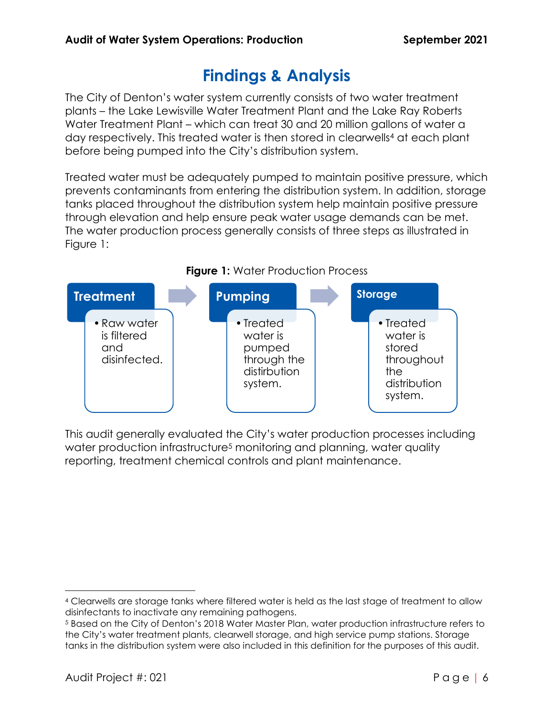# **Findings & Analysis**

<span id="page-5-0"></span>The City of Denton's water system currently consists of two water treatment plants – the Lake Lewisville Water Treatment Plant and the Lake Ray Roberts Water Treatment Plant – which can treat 30 and 20 million gallons of water a day respectively. This treated water is then stored in clearwells<sup>4</sup> at each plant before being pumped into the City's distribution system.

Treated water must be adequately pumped to maintain positive pressure, which prevents contaminants from entering the distribution system. In addition, storage tanks placed throughout the distribution system help maintain positive pressure through elevation and help ensure peak water usage demands can be met. The water production process generally consists of three steps as illustrated in Figure 1:



This audit generally evaluated the City's water production processes including water production infrastructure<sup>5</sup> monitoring and planning, water quality reporting, treatment chemical controls and plant maintenance.

<sup>4</sup> Clearwells are storage tanks where filtered water is held as the last stage of treatment to allow disinfectants to inactivate any remaining pathogens.

<sup>5</sup> Based on the City of Denton's 2018 Water Master Plan, water production infrastructure refers to the City's water treatment plants, clearwell storage, and high service pump stations. Storage tanks in the distribution system were also included in this definition for the purposes of this audit.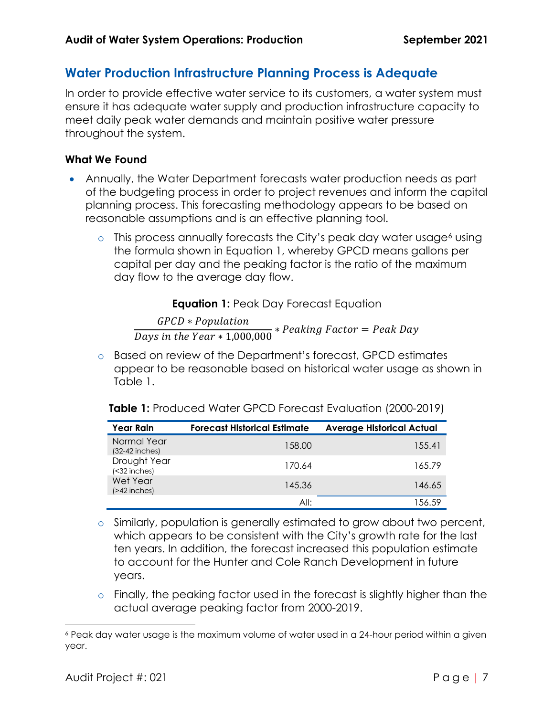### <span id="page-6-0"></span>**Water Production Infrastructure Planning Process is Adequate**

In order to provide effective water service to its customers, a water system must ensure it has adequate water supply and production infrastructure capacity to meet daily peak water demands and maintain positive water pressure throughout the system.

#### **What We Found**

- Annually, the Water Department forecasts water production needs as part of the budgeting process in order to project revenues and inform the capital planning process. This forecasting methodology appears to be based on reasonable assumptions and is an effective planning tool.
	- $\circ$  This process annually forecasts the City's peak day water usage<sup>6</sup> using the formula shown in Equation 1, whereby GPCD means gallons per capital per day and the peaking factor is the ratio of the maximum day flow to the average day flow.

**Equation 1: Peak Day Forecast Equation** 

GPCD \* Population  $\frac{1}{\text{days in the Year} * 1,000,000} * \text{Peaking Factor} = \text{Peak Day}$ 

o Based on review of the Department's forecast, GPCD estimates appear to be reasonable based on historical water usage as shown in Table 1.

| Table 1: Produced Water GPCD Forecast Evaluation (2000-2019) |  |  |
|--------------------------------------------------------------|--|--|
|--------------------------------------------------------------|--|--|

| Year Rain                       | <b>Forecast Historical Estimate</b> | <b>Average Historical Actual</b> |
|---------------------------------|-------------------------------------|----------------------------------|
| Normal Year<br>$(32-42$ inches) | 158.00                              | 155.41                           |
| Drought Year<br>$(32 inches)$   | 170.64                              | 165.79                           |
| Wet Year<br>$($ >42 inches $)$  | 145.36                              | 146.65                           |
|                                 | All:                                | 1.56.59                          |

- o Similarly, population is generally estimated to grow about two percent, which appears to be consistent with the City's growth rate for the last ten years. In addition, the forecast increased this population estimate to account for the Hunter and Cole Ranch Development in future years.
- o Finally, the peaking factor used in the forecast is slightly higher than the actual average peaking factor from 2000-2019.

<sup>6</sup> Peak day water usage is the maximum volume of water used in a 24-hour period within a given year.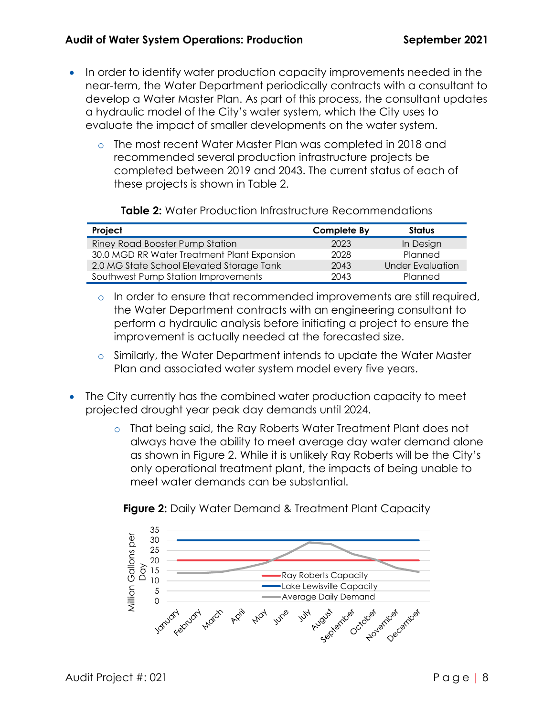- In order to identify water production capacity improvements needed in the near-term, the Water Department periodically contracts with a consultant to develop a Water Master Plan. As part of this process, the consultant updates a hydraulic model of the City's water system, which the City uses to evaluate the impact of smaller developments on the water system.
	- o The most recent Water Master Plan was completed in 2018 and recommended several production infrastructure projects be completed between 2019 and 2043. The current status of each of these projects is shown in Table 2.

#### **Table 2:** Water Production Infrastructure Recommendations

| Project                                     | Complete By | <b>Status</b>           |
|---------------------------------------------|-------------|-------------------------|
| Riney Road Booster Pump Station             | 2023        | In Design               |
| 30.0 MGD RR Water Treatment Plant Expansion | 2028        | Planned                 |
| 2.0 MG State School Elevated Storage Tank   | 2043        | <b>Under Evaluation</b> |
| Southwest Pump Station Improvements         | 2043        | Planned                 |

- $\circ$  In order to ensure that recommended improvements are still required, the Water Department contracts with an engineering consultant to perform a hydraulic analysis before initiating a project to ensure the improvement is actually needed at the forecasted size.
- o Similarly, the Water Department intends to update the Water Master Plan and associated water system model every five years.
- The City currently has the combined water production capacity to meet projected drought year peak day demands until 2024.
	- o That being said, the Ray Roberts Water Treatment Plant does not always have the ability to meet average day water demand alone as shown in Figure 2. While it is unlikely Ray Roberts will be the City's only operational treatment plant, the impacts of being unable to meet water demands can be substantial.



#### **Figure 2:** Daily Water Demand & Treatment Plant Capacity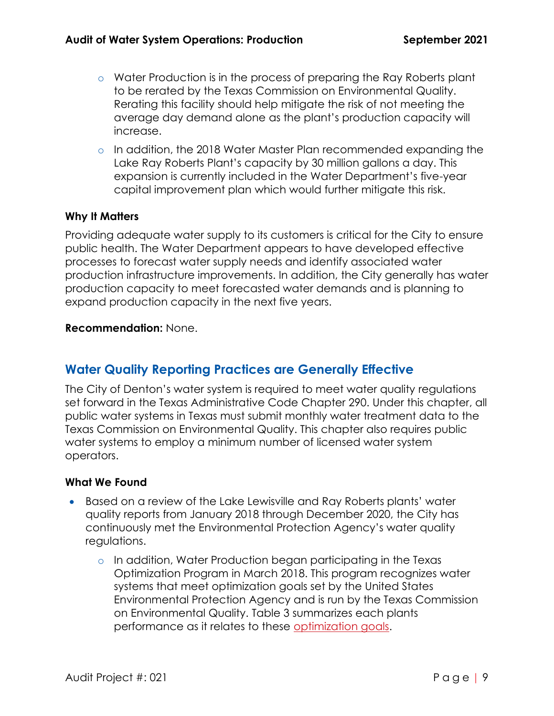- o Water Production is in the process of preparing the Ray Roberts plant to be rerated by the Texas Commission on Environmental Quality. Rerating this facility should help mitigate the risk of not meeting the average day demand alone as the plant's production capacity will increase.
- o In addition, the 2018 Water Master Plan recommended expanding the Lake Ray Roberts Plant's capacity by 30 million gallons a day. This expansion is currently included in the Water Department's five-year capital improvement plan which would further mitigate this risk.

#### **Why It Matters**

Providing adequate water supply to its customers is critical for the City to ensure public health. The Water Department appears to have developed effective processes to forecast water supply needs and identify associated water production infrastructure improvements. In addition, the City generally has water production capacity to meet forecasted water demands and is planning to expand production capacity in the next five years.

#### **Recommendation:** None.

### <span id="page-8-0"></span>**Water Quality Reporting Practices are Generally Effective**

The City of Denton's water system is required to meet water quality regulations set forward in the Texas Administrative Code Chapter 290. Under this chapter, all public water systems in Texas must submit monthly water treatment data to the Texas Commission on Environmental Quality. This chapter also requires public water systems to employ a minimum number of licensed water system operators.

#### **What We Found**

- Based on a review of the Lake Lewisville and Ray Roberts plants' water quality reports from January 2018 through December 2020, the City has continuously met the Environmental Protection Agency's water quality regulations.
	- o In addition, Water Production began participating in the Texas Optimization Program in March 2018. This program recognizes water systems that meet optimization goals set by the United States Environmental Protection Agency and is run by the Texas Commission on Environmental Quality. Table 3 summarizes each plants performance as it relates to these [optimization goals.](https://www.tceq.texas.gov/drinkingwater/swmor/top/top_goals.html)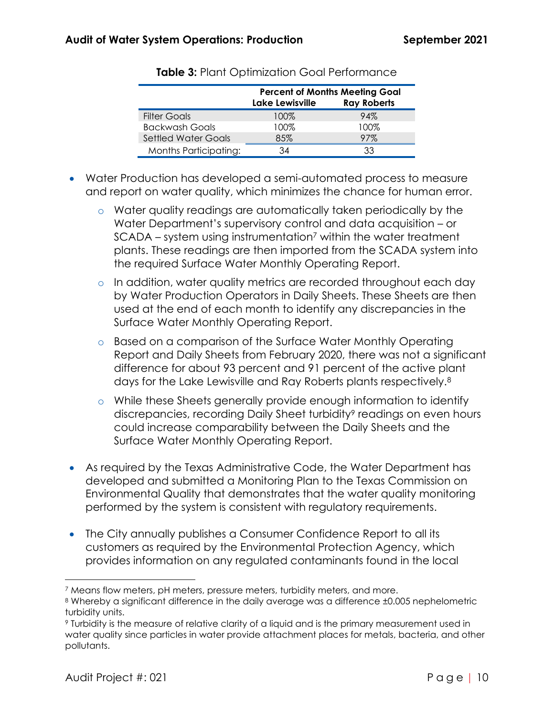|                              | <b>Percent of Months Meeting Goal</b> |                    |  |  |
|------------------------------|---------------------------------------|--------------------|--|--|
|                              | Lake Lewisville                       | <b>Ray Roberts</b> |  |  |
| <b>Filter Goals</b>          | 100%                                  | 94%                |  |  |
| <b>Backwash Goals</b>        | 100%                                  | 100%               |  |  |
| <b>Settled Water Goals</b>   | 85%                                   | 97%                |  |  |
| <b>Months Participating:</b> | 34                                    | 33                 |  |  |

- Water Production has developed a semi-automated process to measure and report on water quality, which minimizes the chance for human error.
	- o Water quality readings are automatically taken periodically by the Water Department's supervisory control and data acquisition – or SCADA – system using instrumentation<sup>7</sup> within the water treatment plants. These readings are then imported from the SCADA system into the required Surface Water Monthly Operating Report.
	- o In addition, water quality metrics are recorded throughout each day by Water Production Operators in Daily Sheets. These Sheets are then used at the end of each month to identify any discrepancies in the Surface Water Monthly Operating Report.
	- o Based on a comparison of the Surface Water Monthly Operating Report and Daily Sheets from February 2020, there was not a significant difference for about 93 percent and 91 percent of the active plant days for the Lake Lewisville and Ray Roberts plants respectively.<sup>8</sup>
	- o While these Sheets generally provide enough information to identify discrepancies, recording Daily Sheet turbidity<sup>9</sup> readings on even hours could increase comparability between the Daily Sheets and the Surface Water Monthly Operating Report.
- As required by the Texas Administrative Code, the Water Department has developed and submitted a Monitoring Plan to the Texas Commission on Environmental Quality that demonstrates that the water quality monitoring performed by the system is consistent with regulatory requirements.
- The City annually publishes a Consumer Confidence Report to all its customers as required by the Environmental Protection Agency, which provides information on any regulated contaminants found in the local

<sup>7</sup> Means flow meters, pH meters, pressure meters, turbidity meters, and more.

<sup>8</sup> Whereby a significant difference in the daily average was a difference ±0.005 nephelometric turbidity units.

<sup>9</sup> Turbidity is the measure of relative clarity of a liquid and is the primary measurement used in water quality since particles in water provide attachment places for metals, bacteria, and other pollutants.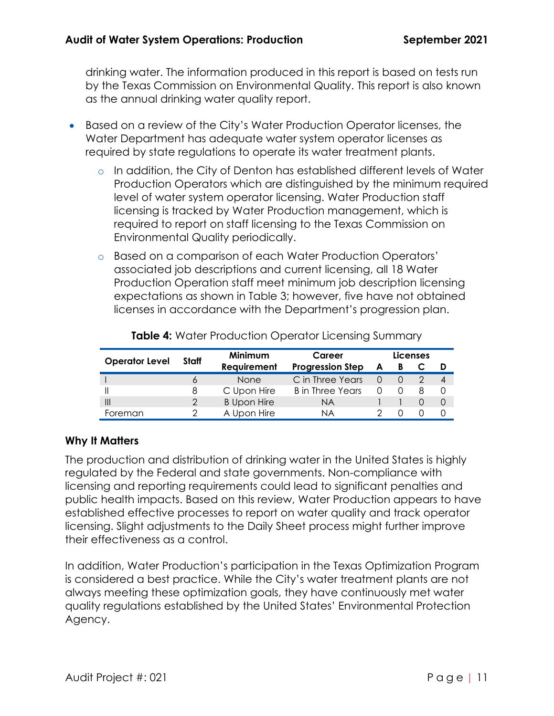drinking water. The information produced in this report is based on tests run by the Texas Commission on Environmental Quality. This report is also known as the annual drinking water quality report.

- Based on a review of the City's Water Production Operator licenses, the Water Department has adequate water system operator licenses as required by state regulations to operate its water treatment plants.
	- o In addition, the City of Denton has established different levels of Water Production Operators which are distinguished by the minimum required level of water system operator licensing. Water Production staff licensing is tracked by Water Production management, which is required to report on staff licensing to the Texas Commission on Environmental Quality periodically.
	- o Based on a comparison of each Water Production Operators' associated job descriptions and current licensing, all 18 Water Production Operation staff meet minimum job description licensing expectations as shown in Table 3; however, five have not obtained licenses in accordance with the Department's progression plan.

| <b>Operator Level</b> |       | Minimum<br>Career  |                         | Licenses |  |  |   |
|-----------------------|-------|--------------------|-------------------------|----------|--|--|---|
|                       | Staff | <b>Requirement</b> | <b>Progression Step</b> |          |  |  |   |
|                       |       | <b>None</b>        | C in Three Years        |          |  |  | 4 |
|                       | 8     | C Upon Hire        | B in Three Years        |          |  |  |   |
| Ш                     |       | <b>B</b> Upon Hire | NA                      |          |  |  |   |
| Foreman               |       | A Upon Hire        | ΝA                      |          |  |  |   |

**Table 4:** Water Production Operator Licensing Summary

#### **Why It Matters**

The production and distribution of drinking water in the United States is highly regulated by the Federal and state governments. Non-compliance with licensing and reporting requirements could lead to significant penalties and public health impacts. Based on this review, Water Production appears to have established effective processes to report on water quality and track operator licensing. Slight adjustments to the Daily Sheet process might further improve their effectiveness as a control.

In addition, Water Production's participation in the Texas Optimization Program is considered a best practice. While the City's water treatment plants are not always meeting these optimization goals, they have continuously met water quality regulations established by the United States' Environmental Protection Agency.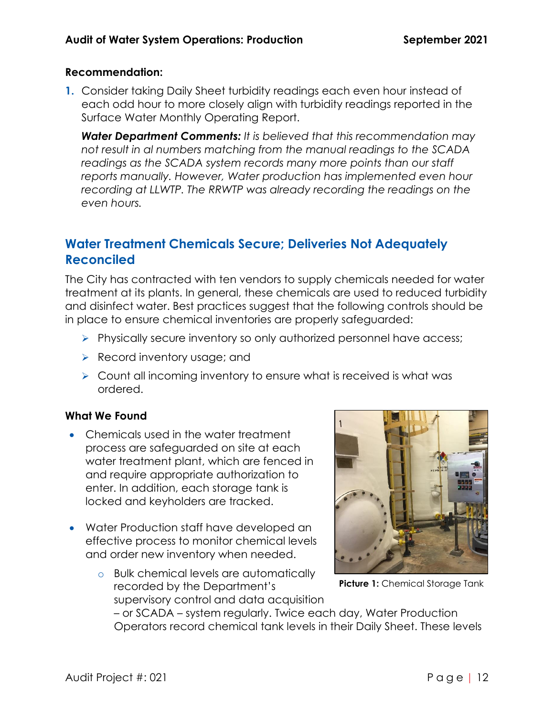#### **Recommendation:**

**1.** Consider taking Daily Sheet turbidity readings each even hour instead of each odd hour to more closely align with turbidity readings reported in the Surface Water Monthly Operating Report.

*Water Department Comments: It is believed that this recommendation may not result in al numbers matching from the manual readings to the SCADA readings as the SCADA system records many more points than our staff reports manually. However, Water production has implemented even hour*  recording at LLWTP. The RRWTP was already recording the readings on the *even hours.*

## <span id="page-11-0"></span>**Water Treatment Chemicals Secure; Deliveries Not Adequately Reconciled**

The City has contracted with ten vendors to supply chemicals needed for water treatment at its plants. In general, these chemicals are used to reduced turbidity and disinfect water. Best practices suggest that the following controls should be in place to ensure chemical inventories are properly safeguarded:

- ➢ Physically secure inventory so only authorized personnel have access;
- ➢ Record inventory usage; and
- ➢ Count all incoming inventory to ensure what is received is what was ordered.

#### **What We Found**

- Chemicals used in the water treatment process are safeguarded on site at each water treatment plant, which are fenced in and require appropriate authorization to enter. In addition, each storage tank is locked and keyholders are tracked.
- Water Production staff have developed an effective process to monitor chemical levels and order new inventory when needed.
	- o Bulk chemical levels are automatically recorded by the Department's supervisory control and data acquisition



**Picture 1:** Chemical Storage Tank

– or SCADA – system regularly. Twice each day, Water Production Operators record chemical tank levels in their Daily Sheet. These levels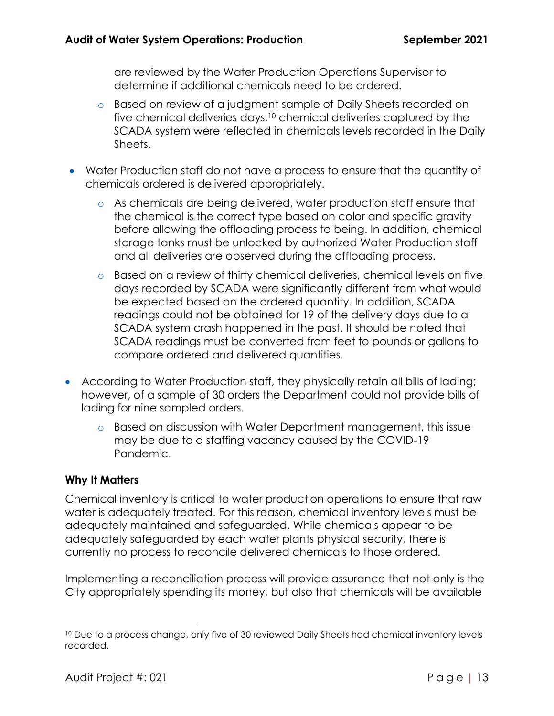are reviewed by the Water Production Operations Supervisor to determine if additional chemicals need to be ordered.

- o Based on review of a judgment sample of Daily Sheets recorded on five chemical deliveries days, <sup>10</sup> chemical deliveries captured by the SCADA system were reflected in chemicals levels recorded in the Daily Sheets.
- Water Production staff do not have a process to ensure that the quantity of chemicals ordered is delivered appropriately.
	- o As chemicals are being delivered, water production staff ensure that the chemical is the correct type based on color and specific gravity before allowing the offloading process to being. In addition, chemical storage tanks must be unlocked by authorized Water Production staff and all deliveries are observed during the offloading process.
	- o Based on a review of thirty chemical deliveries, chemical levels on five days recorded by SCADA were significantly different from what would be expected based on the ordered quantity. In addition, SCADA readings could not be obtained for 19 of the delivery days due to a SCADA system crash happened in the past. It should be noted that SCADA readings must be converted from feet to pounds or gallons to compare ordered and delivered quantities.
- According to Water Production staff, they physically retain all bills of lading; however, of a sample of 30 orders the Department could not provide bills of lading for nine sampled orders.
	- o Based on discussion with Water Department management, this issue may be due to a staffing vacancy caused by the COVID-19 Pandemic.

#### **Why It Matters**

Chemical inventory is critical to water production operations to ensure that raw water is adequately treated. For this reason, chemical inventory levels must be adequately maintained and safeguarded. While chemicals appear to be adequately safeguarded by each water plants physical security, there is currently no process to reconcile delivered chemicals to those ordered.

Implementing a reconciliation process will provide assurance that not only is the City appropriately spending its money, but also that chemicals will be available

<sup>&</sup>lt;sup>10</sup> Due to a process change, only five of 30 reviewed Daily Sheets had chemical inventory levels recorded.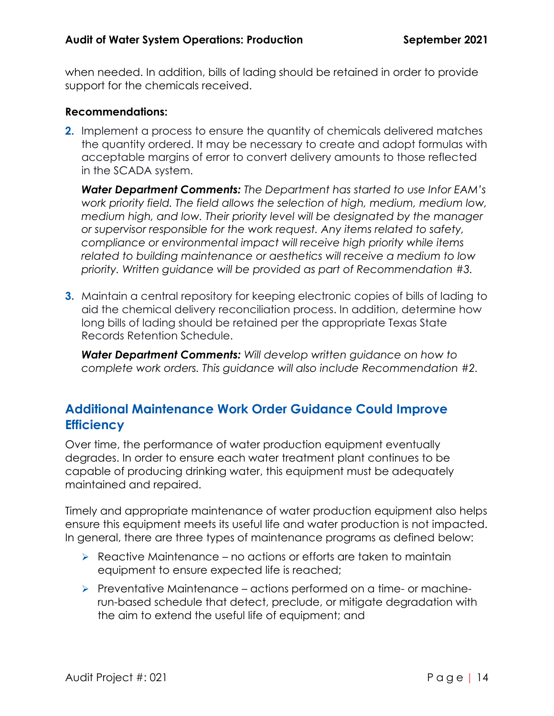when needed. In addition, bills of lading should be retained in order to provide support for the chemicals received.

#### **Recommendations:**

**2.** Implement a process to ensure the quantity of chemicals delivered matches the quantity ordered. It may be necessary to create and adopt formulas with acceptable margins of error to convert delivery amounts to those reflected in the SCADA system.

*Water Department Comments: The Department has started to use Infor EAM's work priority field. The field allows the selection of high, medium, medium low, medium high, and low. Their priority level will be designated by the manager or supervisor responsible for the work request. Any items related to safety, compliance or environmental impact will receive high priority while items related to building maintenance or aesthetics will receive a medium to low priority. Written guidance will be provided as part of Recommendation #3.*

**3.** Maintain a central repository for keeping electronic copies of bills of lading to aid the chemical delivery reconciliation process. In addition, determine how long bills of lading should be retained per the appropriate Texas State Records Retention Schedule.

*Water Department Comments: Will develop written guidance on how to complete work orders. This guidance will also include Recommendation #2.*

## <span id="page-13-0"></span>**Additional Maintenance Work Order Guidance Could Improve Efficiency**

Over time, the performance of water production equipment eventually degrades. In order to ensure each water treatment plant continues to be capable of producing drinking water, this equipment must be adequately maintained and repaired.

Timely and appropriate maintenance of water production equipment also helps ensure this equipment meets its useful life and water production is not impacted. In general, there are three types of maintenance programs as defined below:

- $\triangleright$  Reactive Maintenance no actions or efforts are taken to maintain equipment to ensure expected life is reached;
- ➢ Preventative Maintenance actions performed on a time- or machinerun-based schedule that detect, preclude, or mitigate degradation with the aim to extend the useful life of equipment; and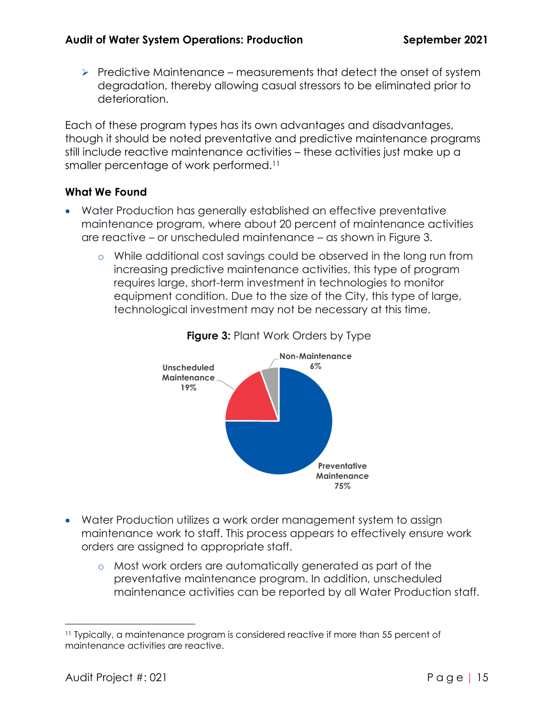$\triangleright$  Predictive Maintenance – measurements that detect the onset of system degradation, thereby allowing casual stressors to be eliminated prior to deterioration.

Each of these program types has its own advantages and disadvantages, though it should be noted preventative and predictive maintenance programs still include reactive maintenance activities – these activities just make up a smaller percentage of work performed.<sup>11</sup>

#### **What We Found**

- Water Production has generally established an effective preventative maintenance program, where about 20 percent of maintenance activities are reactive – or unscheduled maintenance – as shown in Figure 3.
	- o While additional cost savings could be observed in the long run from increasing predictive maintenance activities, this type of program requires large, short-term investment in technologies to monitor equipment condition. Due to the size of the City, this type of large, technological investment may not be necessary at this time.



#### **Figure 3: Plant Work Orders by Type**

- Water Production utilizes a work order management system to assign maintenance work to staff. This process appears to effectively ensure work orders are assigned to appropriate staff.
	- o Most work orders are automatically generated as part of the preventative maintenance program. In addition, unscheduled maintenance activities can be reported by all Water Production staff.

<sup>11</sup> Typically, a maintenance program is considered reactive if more than 55 percent of maintenance activities are reactive.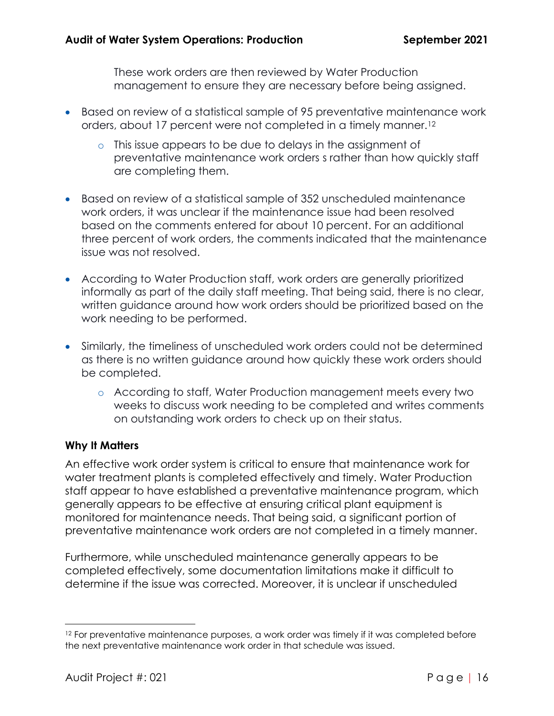These work orders are then reviewed by Water Production management to ensure they are necessary before being assigned.

- Based on review of a statistical sample of 95 preventative maintenance work orders, about 17 percent were not completed in a timely manner.<sup>12</sup>
	- o This issue appears to be due to delays in the assignment of preventative maintenance work orders s rather than how quickly staff are completing them.
- Based on review of a statistical sample of 352 unscheduled maintenance work orders, it was unclear if the maintenance issue had been resolved based on the comments entered for about 10 percent. For an additional three percent of work orders, the comments indicated that the maintenance issue was not resolved.
- According to Water Production staff, work orders are generally prioritized informally as part of the daily staff meeting. That being said, there is no clear, written guidance around how work orders should be prioritized based on the work needing to be performed.
- Similarly, the timeliness of unscheduled work orders could not be determined as there is no written guidance around how quickly these work orders should be completed.
	- o According to staff, Water Production management meets every two weeks to discuss work needing to be completed and writes comments on outstanding work orders to check up on their status.

#### **Why It Matters**

An effective work order system is critical to ensure that maintenance work for water treatment plants is completed effectively and timely. Water Production staff appear to have established a preventative maintenance program, which generally appears to be effective at ensuring critical plant equipment is monitored for maintenance needs. That being said, a significant portion of preventative maintenance work orders are not completed in a timely manner.

Furthermore, while unscheduled maintenance generally appears to be completed effectively, some documentation limitations make it difficult to determine if the issue was corrected. Moreover, it is unclear if unscheduled

<sup>&</sup>lt;sup>12</sup> For preventative maintenance purposes, a work order was timely if it was completed before the next preventative maintenance work order in that schedule was issued.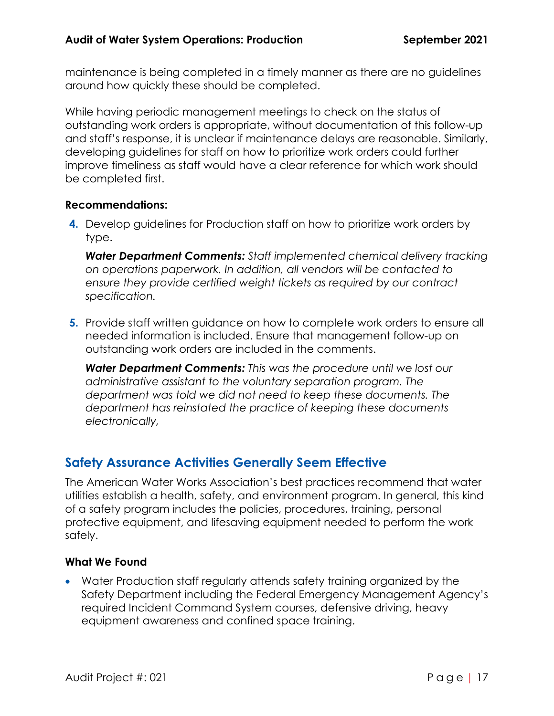maintenance is being completed in a timely manner as there are no guidelines around how quickly these should be completed.

While having periodic management meetings to check on the status of outstanding work orders is appropriate, without documentation of this follow-up and staff's response, it is unclear if maintenance delays are reasonable. Similarly, developing guidelines for staff on how to prioritize work orders could further improve timeliness as staff would have a clear reference for which work should be completed first.

#### **Recommendations:**

**4.** Develop guidelines for Production staff on how to prioritize work orders by type.

*Water Department Comments: Staff implemented chemical delivery tracking on operations paperwork. In addition, all vendors will be contacted to ensure they provide certified weight tickets as required by our contract specification.*

**5.** Provide staff written guidance on how to complete work orders to ensure all needed information is included. Ensure that management follow-up on outstanding work orders are included in the comments.

*Water Department Comments: This was the procedure until we lost our administrative assistant to the voluntary separation program. The department was told we did not need to keep these documents. The department has reinstated the practice of keeping these documents electronically,*

### <span id="page-16-0"></span>**Safety Assurance Activities Generally Seem Effective**

The American Water Works Association's best practices recommend that water utilities establish a health, safety, and environment program. In general, this kind of a safety program includes the policies, procedures, training, personal protective equipment, and lifesaving equipment needed to perform the work safely.

#### **What We Found**

• Water Production staff regularly attends safety training organized by the Safety Department including the Federal Emergency Management Agency's required Incident Command System courses, defensive driving, heavy equipment awareness and confined space training.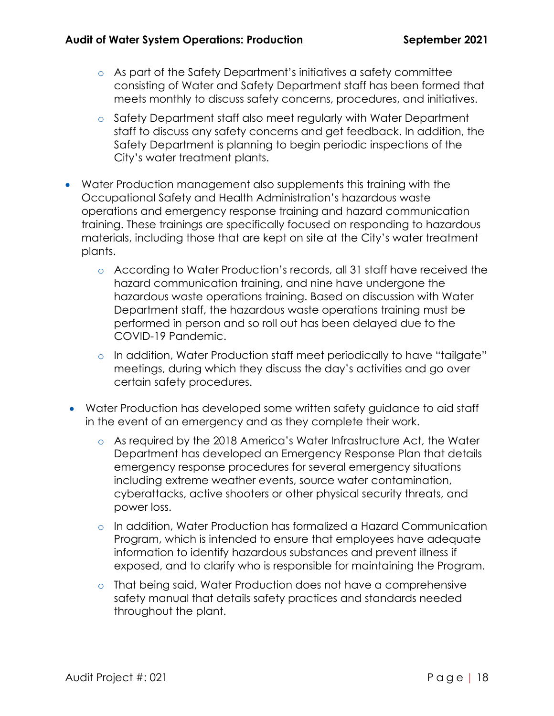- o As part of the Safety Department's initiatives a safety committee consisting of Water and Safety Department staff has been formed that meets monthly to discuss safety concerns, procedures, and initiatives.
- o Safety Department staff also meet regularly with Water Department staff to discuss any safety concerns and get feedback. In addition, the Safety Department is planning to begin periodic inspections of the City's water treatment plants.
- Water Production management also supplements this training with the Occupational Safety and Health Administration's hazardous waste operations and emergency response training and hazard communication training. These trainings are specifically focused on responding to hazardous materials, including those that are kept on site at the City's water treatment plants.
	- o According to Water Production's records, all 31 staff have received the hazard communication training, and nine have undergone the hazardous waste operations training. Based on discussion with Water Department staff, the hazardous waste operations training must be performed in person and so roll out has been delayed due to the COVID-19 Pandemic.
	- o In addition, Water Production staff meet periodically to have "tailgate" meetings, during which they discuss the day's activities and go over certain safety procedures.
- Water Production has developed some written safety guidance to aid staff in the event of an emergency and as they complete their work.
	- o As required by the 2018 America's Water Infrastructure Act, the Water Department has developed an Emergency Response Plan that details emergency response procedures for several emergency situations including extreme weather events, source water contamination, cyberattacks, active shooters or other physical security threats, and power loss.
	- o In addition, Water Production has formalized a Hazard Communication Program, which is intended to ensure that employees have adequate information to identify hazardous substances and prevent illness if exposed, and to clarify who is responsible for maintaining the Program.
	- o That being said, Water Production does not have a comprehensive safety manual that details safety practices and standards needed throughout the plant.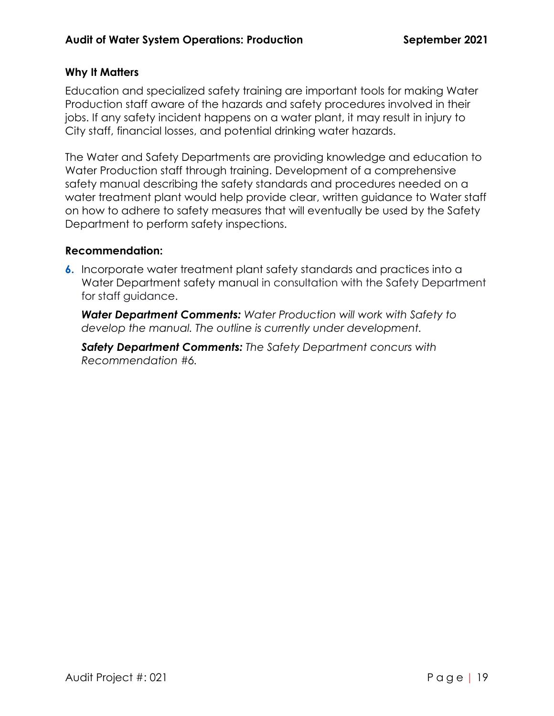#### **Why It Matters**

Education and specialized safety training are important tools for making Water Production staff aware of the hazards and safety procedures involved in their jobs. If any safety incident happens on a water plant, it may result in injury to City staff, financial losses, and potential drinking water hazards.

The Water and Safety Departments are providing knowledge and education to Water Production staff through training. Development of a comprehensive safety manual describing the safety standards and procedures needed on a water treatment plant would help provide clear, written guidance to Water staff on how to adhere to safety measures that will eventually be used by the Safety Department to perform safety inspections.

#### **Recommendation:**

**6.** Incorporate water treatment plant safety standards and practices into a Water Department safety manual in consultation with the Safety Department for staff guidance.

*Water Department Comments: Water Production will work with Safety to develop the manual. The outline is currently under development.*

*Safety Department Comments: The Safety Department concurs with Recommendation #6.*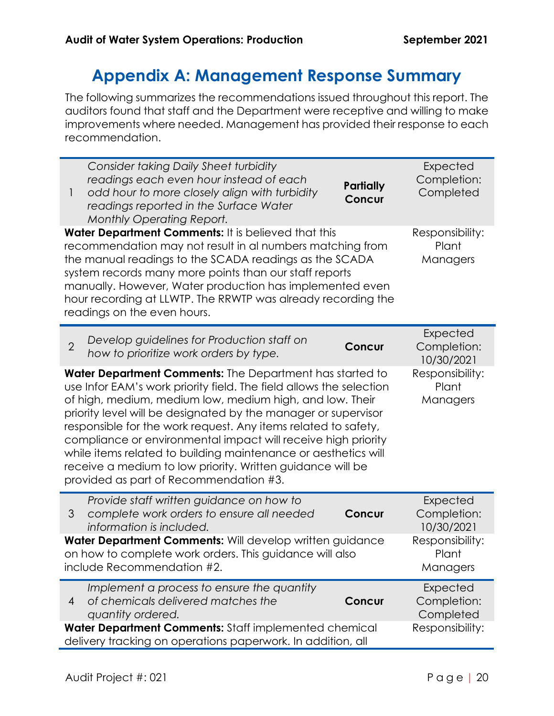# **Appendix A: Management Response Summary**

<span id="page-19-0"></span>The following summarizes the recommendations issued throughout this report. The auditors found that staff and the Department were receptive and willing to make improvements where needed. Management has provided their response to each recommendation.

| Consider taking Daily Sheet turbidity<br>readings each even hour instead of each<br>Partially<br>odd hour to more closely align with turbidity<br>$\mathbf{I}$<br>Concur<br>readings reported in the Surface Water<br><b>Monthly Operating Report.</b>                                                                                                                                                                                                                                                                                                                     | Expected<br>Completion:<br>Completed  |  |  |  |
|----------------------------------------------------------------------------------------------------------------------------------------------------------------------------------------------------------------------------------------------------------------------------------------------------------------------------------------------------------------------------------------------------------------------------------------------------------------------------------------------------------------------------------------------------------------------------|---------------------------------------|--|--|--|
| Water Department Comments: It is believed that this<br>recommendation may not result in al numbers matching from<br>the manual readings to the SCADA readings as the SCADA<br>system records many more points than our staff reports<br>manually. However, Water production has implemented even<br>hour recording at LLWTP. The RRWTP was already recording the<br>readings on the even hours.                                                                                                                                                                            | Responsibility:<br>Plant<br>Managers  |  |  |  |
| Develop guidelines for Production staff on<br>$\overline{2}$<br>Concur<br>how to prioritize work orders by type.                                                                                                                                                                                                                                                                                                                                                                                                                                                           | Expected<br>Completion:<br>10/30/2021 |  |  |  |
| Water Department Comments: The Department has started to<br>use Infor EAM's work priority field. The field allows the selection<br>of high, medium, medium low, medium high, and low. Their<br>priority level will be designated by the manager or supervisor<br>responsible for the work request. Any items related to safety,<br>compliance or environmental impact will receive high priority<br>while items related to building maintenance or aesthetics will<br>receive a medium to low priority. Written guidance will be<br>provided as part of Recommendation #3. | Responsibility:<br>Plant<br>Managers  |  |  |  |
| Provide staff written guidance on how to<br>complete work orders to ensure all needed<br>3<br>Concur<br>information is included.                                                                                                                                                                                                                                                                                                                                                                                                                                           | Expected<br>Completion:<br>10/30/2021 |  |  |  |
| Water Department Comments: Will develop written guidance<br>on how to complete work orders. This guidance will also<br>include Recommendation #2.                                                                                                                                                                                                                                                                                                                                                                                                                          | Responsibility:<br>Plant<br>Managers  |  |  |  |
| Implement a process to ensure the quantity<br>of chemicals delivered matches the<br>Concur<br>$\overline{4}$<br>quantity ordered.                                                                                                                                                                                                                                                                                                                                                                                                                                          | Expected<br>Completion:<br>Completed  |  |  |  |
| Water Department Comments: Staff implemented chemical<br>Responsibility:<br>delivery tracking on operations paperwork. In addition, all                                                                                                                                                                                                                                                                                                                                                                                                                                    |                                       |  |  |  |